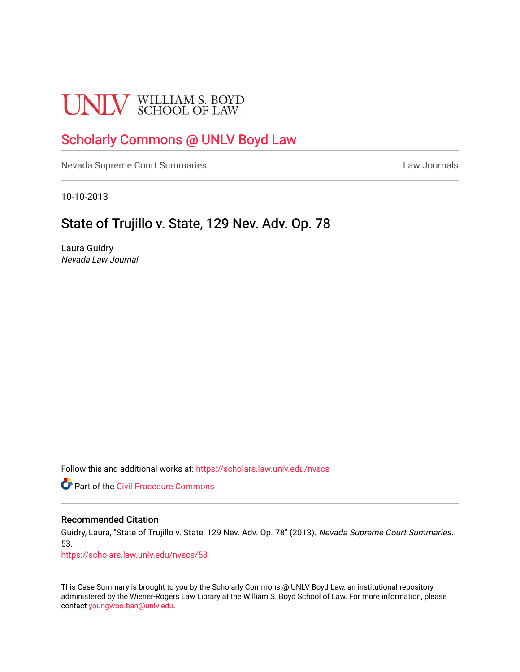# **UNLV** SCHOOL OF LAW

# [Scholarly Commons @ UNLV Boyd Law](https://scholars.law.unlv.edu/)

[Nevada Supreme Court Summaries](https://scholars.law.unlv.edu/nvscs) **Law Journals** Law Journals

10-10-2013

# State of Trujillo v. State, 129 Nev. Adv. Op. 78

Laura Guidry Nevada Law Journal

Follow this and additional works at: [https://scholars.law.unlv.edu/nvscs](https://scholars.law.unlv.edu/nvscs?utm_source=scholars.law.unlv.edu%2Fnvscs%2F53&utm_medium=PDF&utm_campaign=PDFCoverPages)

**C** Part of the Civil Procedure Commons

#### Recommended Citation

Guidry, Laura, "State of Trujillo v. State, 129 Nev. Adv. Op. 78" (2013). Nevada Supreme Court Summaries. 53.

[https://scholars.law.unlv.edu/nvscs/53](https://scholars.law.unlv.edu/nvscs/53?utm_source=scholars.law.unlv.edu%2Fnvscs%2F53&utm_medium=PDF&utm_campaign=PDFCoverPages) 

This Case Summary is brought to you by the Scholarly Commons @ UNLV Boyd Law, an institutional repository administered by the Wiener-Rogers Law Library at the William S. Boyd School of Law. For more information, please contact [youngwoo.ban@unlv.edu](mailto:youngwoo.ban@unlv.edu).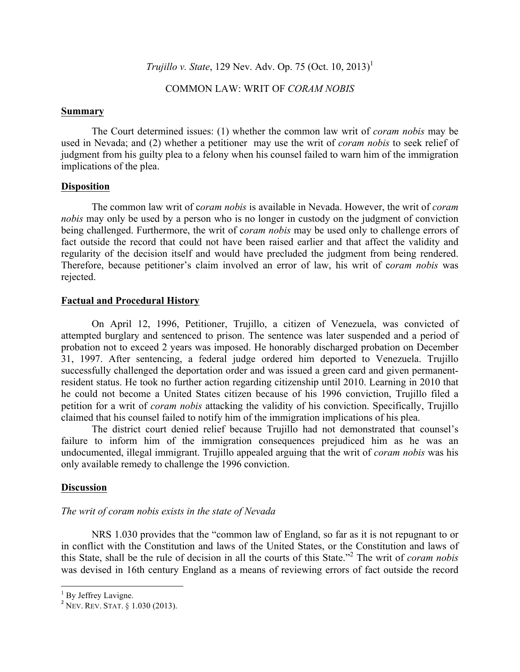*Trujillo v. State*, 129 Nev. Adv. Op. 75 (Oct. 10, 2013)<sup>1</sup>

COMMON LAW: WRIT OF *CORAM NOBIS*

#### **Summary**

The Court determined issues: (1) whether the common law writ of *coram nobis* may be used in Nevada; and (2) whether a petitioner may use the writ of *coram nobis* to seek relief of judgment from his guilty plea to a felony when his counsel failed to warn him of the immigration implications of the plea.

# **Disposition**

The common law writ of c*oram nobis* is available in Nevada. However, the writ of *coram nobis* may only be used by a person who is no longer in custody on the judgment of conviction being challenged. Furthermore, the writ of c*oram nobis* may be used only to challenge errors of fact outside the record that could not have been raised earlier and that affect the validity and regularity of the decision itself and would have precluded the judgment from being rendered. Therefore, because petitioner's claim involved an error of law, his writ of c*oram nobis* was rejected.

#### **Factual and Procedural History**

On April 12, 1996, Petitioner, Trujillo, a citizen of Venezuela, was convicted of attempted burglary and sentenced to prison. The sentence was later suspended and a period of probation not to exceed 2 years was imposed. He honorably discharged probation on December 31, 1997. After sentencing, a federal judge ordered him deported to Venezuela. Trujillo successfully challenged the deportation order and was issued a green card and given permanentresident status. He took no further action regarding citizenship until 2010. Learning in 2010 that he could not become a United States citizen because of his 1996 conviction, Trujillo filed a petition for a writ of *coram nobis* attacking the validity of his conviction. Specifically, Trujillo claimed that his counsel failed to notify him of the immigration implications of his plea.

The district court denied relief because Trujillo had not demonstrated that counsel's failure to inform him of the immigration consequences prejudiced him as he was an undocumented, illegal immigrant. Trujillo appealed arguing that the writ of *coram nobis* was his only available remedy to challenge the 1996 conviction.

# **Discussion**

# *The writ of coram nobis exists in the state of Nevada*

NRS 1.030 provides that the "common law of England, so far as it is not repugnant to or in conflict with the Constitution and laws of the United States, or the Constitution and laws of this State, shall be the rule of decision in all the courts of this State."<sup>2</sup> The writ of *coram nobis*  was devised in 16th century England as a means of reviewing errors of fact outside the record

<u> 1989 - Johann Stein, fransk politik (d. 1989)</u>

<sup>&</sup>lt;sup>1</sup> By Jeffrey Lavigne.<br><sup>2</sup> NEV. REV. STAT. § 1.030 (2013).